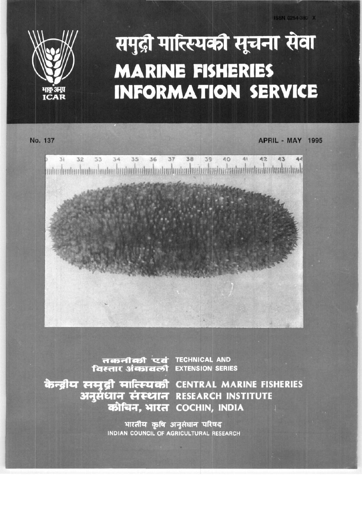

## समुद्री मात्स्थिकी सूचना सेवा **MARINE FISHERIES INFORMATION SERVICE**

No. 137

**APRIL - MAY 1995** 



तकनीकी एवं TECHNICAL AND<br>विस्तार अंकावली EXTENSION SERIES

केन्द्रीय समुद्री मात्स्यिकी CENTRAL MARINE FISHERIES अनुसंधान संस्थान RESEARCH INSTITUTE कोचिन. भारत COCHIN, INDIA

> भारतीय कृषि अनुसंधान परिषद INDIAN COUNCIL OF AGRICULTURAL RESEARCH